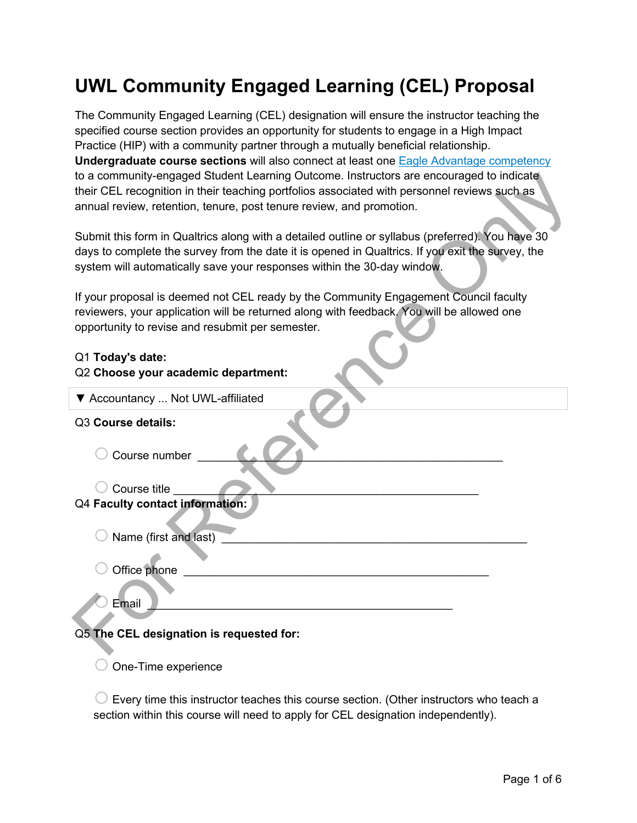## **UWL Community Engaged Learning (CEL) Proposal**

The Community Engaged Learning (CEL) designation will ensure the instructor teaching the specified course section provides an opportunity for students to engage in a High Impact Practice (HIP) with a community partner through a mutually beneficial relationship. **Undergraduate course sections** will also connect at least one [Eagle Advantage competency](https://www.uwlax.edu/info/eagle-advantage/) to a community-engaged Student Learning Outcome. Instructors are encouraged to indicate their CEL recognition in their teaching portfolios associated with personnel reviews such as annual review, retention, tenure, post tenure review, and promotion.

| to a community-engaged Student Learning Outcome. Instructors are encouraged to indicate          |  |  |  |  |  |
|--------------------------------------------------------------------------------------------------|--|--|--|--|--|
| their CEL recognition in their teaching portfolios associated with personnel reviews such as     |  |  |  |  |  |
| annual review, retention, tenure, post tenure review, and promotion.                             |  |  |  |  |  |
|                                                                                                  |  |  |  |  |  |
| Submit this form in Qualtrics along with a detailed outline or syllabus (preferred). You have 30 |  |  |  |  |  |
|                                                                                                  |  |  |  |  |  |
| days to complete the survey from the date it is opened in Qualtrics. If you exit the survey, the |  |  |  |  |  |
| system will automatically save your responses within the 30-day window.                          |  |  |  |  |  |
|                                                                                                  |  |  |  |  |  |
| If your proposal is deemed not CEL ready by the Community Engagement Council faculty             |  |  |  |  |  |
| reviewers, your application will be returned along with feedback. You will be allowed one        |  |  |  |  |  |
| opportunity to revise and resubmit per semester.                                                 |  |  |  |  |  |
|                                                                                                  |  |  |  |  |  |
|                                                                                                  |  |  |  |  |  |
| Q1 Today's date:                                                                                 |  |  |  |  |  |
| Q2 Choose your academic department:                                                              |  |  |  |  |  |
| ▼ Accountancy  Not UWL-affiliated                                                                |  |  |  |  |  |
|                                                                                                  |  |  |  |  |  |
| Q3 Course details:                                                                               |  |  |  |  |  |
|                                                                                                  |  |  |  |  |  |
|                                                                                                  |  |  |  |  |  |
| Course number                                                                                    |  |  |  |  |  |
|                                                                                                  |  |  |  |  |  |
| Course title                                                                                     |  |  |  |  |  |
| Q4 Faculty contact information:                                                                  |  |  |  |  |  |
|                                                                                                  |  |  |  |  |  |
| Name (first and last)                                                                            |  |  |  |  |  |
|                                                                                                  |  |  |  |  |  |
|                                                                                                  |  |  |  |  |  |
| Office phone                                                                                     |  |  |  |  |  |
|                                                                                                  |  |  |  |  |  |
| Email                                                                                            |  |  |  |  |  |
|                                                                                                  |  |  |  |  |  |
|                                                                                                  |  |  |  |  |  |
| Q5 The CEL designation is requested for:                                                         |  |  |  |  |  |
|                                                                                                  |  |  |  |  |  |

 $\Box$  One-Time experience

 $\bigcirc$  Every time this instructor teaches this course section. (Other instructors who teach a section within this course will need to apply for CEL designation independently).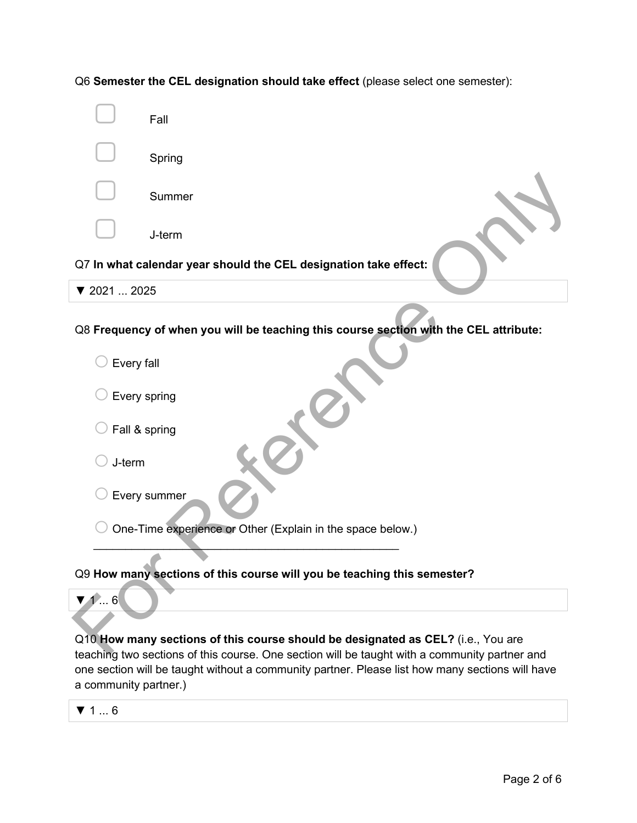Fall **Spring Summer** ▢ J-term Q7 **In what calendar year should the CEL designation take effect:** ▼ 2021 ... 2025 Q8 **Frequency of when you will be teaching this course section with the CEL attribute:**  $\bigcirc$  Every fall  $\bigcirc$  Every spring  $\bigcirc$  Fall & spring  $\bigcirc$  J-term  $\bigcirc$  Every summer  $\bigcirc$  One-Time experience or Other (Explain in the space below.) \_\_\_\_\_\_\_\_\_\_\_\_\_\_\_\_\_\_\_\_\_\_\_\_\_\_\_\_\_\_\_\_\_\_\_\_\_\_\_\_\_\_\_\_\_\_\_\_ Q9 **How many sections of this course will you be teaching this semester?** ▼ 1 ... 6 Summer<br>
O7 In what calendar year should the CEL designation take effect:<br>
Texace Only 12021<br>
The Fore of When you will be teaching this course section with the CEL attribute:<br>
Cevery spring<br>
C Fore of Management of this co

Q6 **Semester the CEL designation should take effect** (please select one semester):

Q10 **How many sections of this course should be designated as CEL?** (i.e., You are teaching two sections of this course. One section will be taught with a community partner and one section will be taught without a community partner. Please list how many sections will have a community partner.)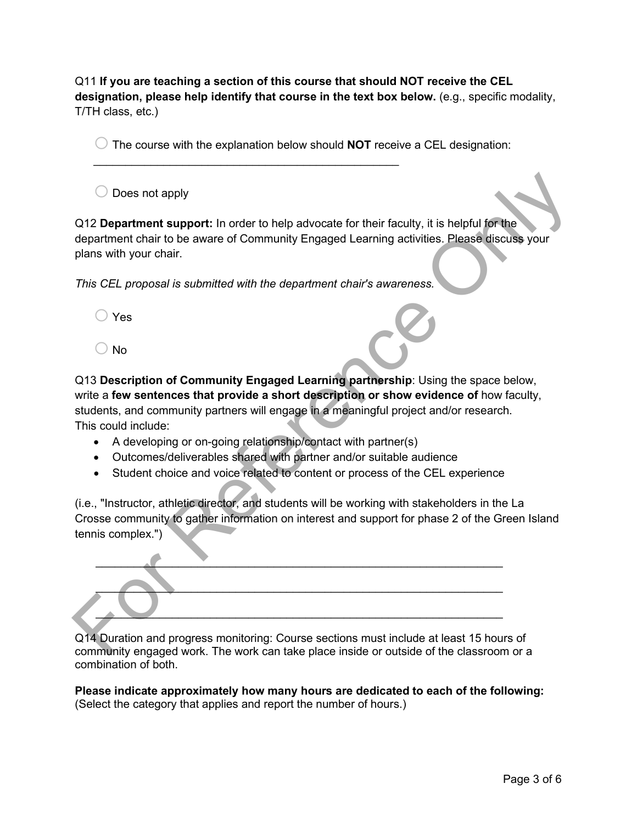Q11 **If you are teaching a section of this course that should NOT receive the CEL designation, please help identify that course in the text box below.** (e.g., specific modality, T/TH class, etc.)

 $\bigcirc$  The course with the explanation below should **NOT** receive a CEL designation:

 $\bigcirc$  Does not apply

Q12 **Department support:** In order to help advocate for their faculty, it is helpful for the department chair to be aware of Community Engaged Learning activities. Please discuss your plans with your chair.

*This CEL proposal is submitted with the department chair's awareness.*

\_\_\_\_\_\_\_\_\_\_\_\_\_\_\_\_\_\_\_\_\_\_\_\_\_\_\_\_\_\_\_\_\_\_\_\_\_\_\_\_\_\_\_\_\_\_\_\_

- $\bigcirc$  Yes
- $\bigcirc$  No

Q13 **Description of Community Engaged Learning partnership**: Using the space below, write a **few sentences that provide a short description or show evidence of** how faculty, students, and community partners will engage in a meaningful project and/or research. This could include:

- A developing or on-going relationship/contact with partner(s)
- Outcomes/deliverables shared with partner and/or suitable audience
- Student choice and voice related to content or process of the CEL experience

(i.e., "Instructor, athletic director, and students will be working with stakeholders in the La Crosse community to gather information on interest and support for phase 2 of the Green Island tennis complex.")

 $\mathcal{L}=\mathcal{L}=\mathcal{L}=\mathcal{L}=\mathcal{L}=\mathcal{L}=\mathcal{L}=\mathcal{L}=\mathcal{L}=\mathcal{L}=\mathcal{L}=\mathcal{L}=\mathcal{L}=\mathcal{L}=\mathcal{L}=\mathcal{L}=\mathcal{L}=\mathcal{L}=\mathcal{L}=\mathcal{L}=\mathcal{L}=\mathcal{L}=\mathcal{L}=\mathcal{L}=\mathcal{L}=\mathcal{L}=\mathcal{L}=\mathcal{L}=\mathcal{L}=\mathcal{L}=\mathcal{L}=\mathcal{L}=\mathcal{L}=\mathcal{L}=\mathcal{L}=\mathcal{L}=\mathcal{$  $\overbrace{\phantom{xxxxx}}$  $\overline{\phantom{a}}$ Conservative to the production of the production of the production of the production of the production of the stress of department chair's swareness.<br>
This CEL proposal is submitted with the department chair's swareness.<br>

Q14 Duration and progress monitoring: Course sections must include at least 15 hours of community engaged work. The work can take place inside or outside of the classroom or a combination of both.

**Please indicate approximately how many hours are dedicated to each of the following:**  (Select the category that applies and report the number of hours.)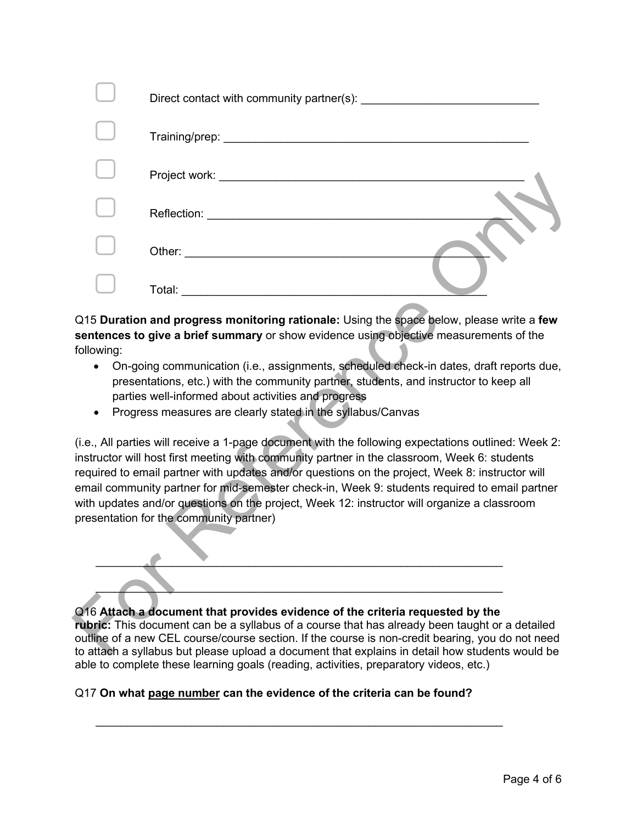|                                                                                                                                                                                                                                                                                                                                                                                                                                                                                                                                                   | Total: www.astronomia.com                                                                                                                                                                                                                                                                                                                                                              |  |  |  |  |  |
|---------------------------------------------------------------------------------------------------------------------------------------------------------------------------------------------------------------------------------------------------------------------------------------------------------------------------------------------------------------------------------------------------------------------------------------------------------------------------------------------------------------------------------------------------|----------------------------------------------------------------------------------------------------------------------------------------------------------------------------------------------------------------------------------------------------------------------------------------------------------------------------------------------------------------------------------------|--|--|--|--|--|
| Q15 Duration and progress monitoring rationale: Using the space below, please write a few<br>sentences to give a brief summary or show evidence using objective measurements of the<br>following:<br>On-going communication (i.e., assignments, scheduled check-in dates, draft reports due,<br>$\bullet$<br>presentations, etc.) with the community partner, students, and instructor to keep all<br>parties well-informed about activities and progress<br>Progress measures are clearly stated in the syllabus/Canvas<br>٠                     |                                                                                                                                                                                                                                                                                                                                                                                        |  |  |  |  |  |
| (i.e., All parties will receive a 1-page document with the following expectations outlined: Week 2:<br>instructor will host first meeting with community partner in the classroom, Week 6: students<br>required to email partner with updates and/or questions on the project, Week 8: instructor will<br>email community partner for mid-semester check-in, Week 9: students required to email partner<br>with updates and/or questions on the project, Week 12: instructor will organize a classroom<br>presentation for the community partner) |                                                                                                                                                                                                                                                                                                                                                                                        |  |  |  |  |  |
|                                                                                                                                                                                                                                                                                                                                                                                                                                                                                                                                                   | Q16 Attach a document that provides evidence of the criteria requested by the<br>rubric: This document can be a syllabus of a course that has already been taught or a detailed<br>outline of a new CEL course/course section. If the course is non-credit bearing, you do not need<br>to attach a syllabus but please upload a document that explains in detail how students would be |  |  |  |  |  |

- On-going communication (i.e., assignments, scheduled check-in dates, draft reports due, presentations, etc.) with the community partner, students, and instructor to keep all parties well-informed about activities and progress
- Progress measures are clearly stated in the syllabus/Canvas

 $\overline{\phantom{a}}$  ,  $\overline{\phantom{a}}$  ,  $\overline{\phantom{a}}$  ,  $\overline{\phantom{a}}$  ,  $\overline{\phantom{a}}$  ,  $\overline{\phantom{a}}$  ,  $\overline{\phantom{a}}$  ,  $\overline{\phantom{a}}$  ,  $\overline{\phantom{a}}$  ,  $\overline{\phantom{a}}$  ,  $\overline{\phantom{a}}$  ,  $\overline{\phantom{a}}$  ,  $\overline{\phantom{a}}$  ,  $\overline{\phantom{a}}$  ,  $\overline{\phantom{a}}$  ,  $\overline{\phantom{a}}$  $\overbrace{\hspace{2.5cm}}$ 

## Q16 **Attach a document that provides evidence of the criteria requested by the**

**rubric:** This document can be a syllabus of a course that has already been taught or a detailed outline of a new CEL course/course section. If the course is non-credit bearing, you do not need to attach a syllabus but please upload a document that explains in detail how students would be able to complete these learning goals (reading, activities, preparatory videos, etc.)

## Q17 **On what page number can the evidence of the criteria can be found?**

\_\_\_\_\_\_\_\_\_\_\_\_\_\_\_\_\_\_\_\_\_\_\_\_\_\_\_\_\_\_\_\_\_\_\_\_\_\_\_\_\_\_\_\_\_\_\_\_\_\_\_\_\_\_\_\_\_\_\_\_\_\_\_\_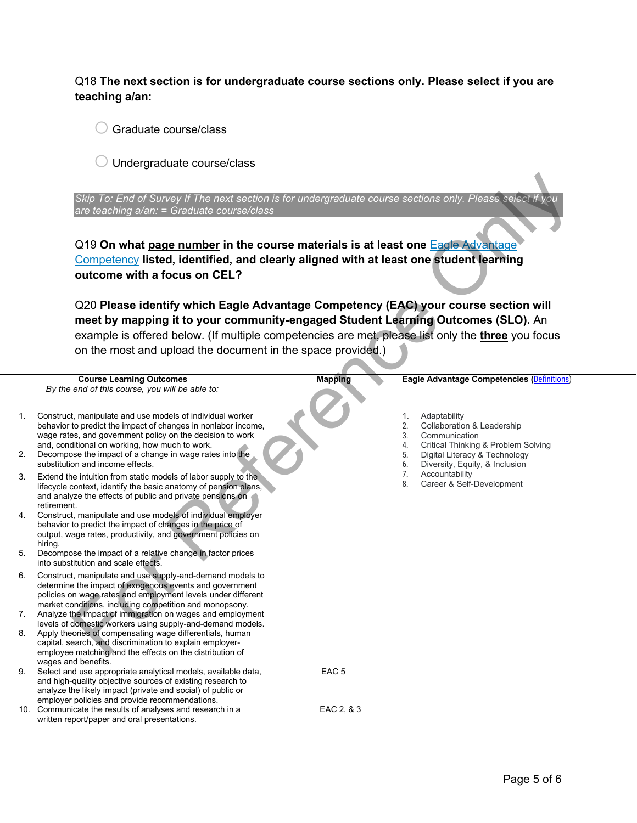Q18 **The next section is for undergraduate course sections only. Please select if you are teaching a/an:**

 $\bigcirc$  Graduate course/class

 $\bigcirc$  Undergraduate course/class

|                            | Skip To: End of Survey If The next section is for undergraduate course sections only. Please select if you<br>are teaching a/an: = Graduate course/class<br>Q19 On what page number in the course materials is at least one Eagle Advantage<br>Competency listed, identified, and clearly aligned with at least one student learning<br>outcome with a focus on CEL?                                                                                                                                                                                                                                                                                                                                                                                                                                                                                                                                                                               |                                |                                                                                                                                                                                                                                                                      |
|----------------------------|----------------------------------------------------------------------------------------------------------------------------------------------------------------------------------------------------------------------------------------------------------------------------------------------------------------------------------------------------------------------------------------------------------------------------------------------------------------------------------------------------------------------------------------------------------------------------------------------------------------------------------------------------------------------------------------------------------------------------------------------------------------------------------------------------------------------------------------------------------------------------------------------------------------------------------------------------|--------------------------------|----------------------------------------------------------------------------------------------------------------------------------------------------------------------------------------------------------------------------------------------------------------------|
|                            | Q20 Please identify which Eagle Advantage Competency (EAC) your course section will                                                                                                                                                                                                                                                                                                                                                                                                                                                                                                                                                                                                                                                                                                                                                                                                                                                                |                                |                                                                                                                                                                                                                                                                      |
|                            | meet by mapping it to your community-engaged Student Learning Outcomes (SLO). An                                                                                                                                                                                                                                                                                                                                                                                                                                                                                                                                                                                                                                                                                                                                                                                                                                                                   |                                |                                                                                                                                                                                                                                                                      |
|                            | example is offered below. (If multiple competencies are met, please list only the three you focus                                                                                                                                                                                                                                                                                                                                                                                                                                                                                                                                                                                                                                                                                                                                                                                                                                                  |                                |                                                                                                                                                                                                                                                                      |
|                            | on the most and upload the document in the space provided.)                                                                                                                                                                                                                                                                                                                                                                                                                                                                                                                                                                                                                                                                                                                                                                                                                                                                                        |                                |                                                                                                                                                                                                                                                                      |
|                            |                                                                                                                                                                                                                                                                                                                                                                                                                                                                                                                                                                                                                                                                                                                                                                                                                                                                                                                                                    |                                |                                                                                                                                                                                                                                                                      |
|                            | <b>Course Learning Outcomes</b>                                                                                                                                                                                                                                                                                                                                                                                                                                                                                                                                                                                                                                                                                                                                                                                                                                                                                                                    | <b>Mapping</b>                 | Eagle Advantage Competencies (Definitions)                                                                                                                                                                                                                           |
|                            | By the end of this course, you will be able to:                                                                                                                                                                                                                                                                                                                                                                                                                                                                                                                                                                                                                                                                                                                                                                                                                                                                                                    |                                |                                                                                                                                                                                                                                                                      |
| 1.<br>2.<br>3.<br>4.<br>5. | Construct, manipulate and use models of individual worker<br>behavior to predict the impact of changes in nonlabor income,<br>wage rates, and government policy on the decision to work<br>and, conditional on working, how much to work.<br>Decompose the impact of a change in wage rates into the<br>substitution and income effects.<br>Extend the intuition from static models of labor supply to the<br>lifecycle context, identify the basic anatomy of pension plans,<br>and analyze the effects of public and private pensions on<br>retirement.<br>Construct, manipulate and use models of individual employer<br>behavior to predict the impact of changes in the price of<br>output, wage rates, productivity, and government policies on<br>hiring.<br>Decompose the impact of a relative change in factor prices<br>into substitution and scale effects.                                                                             |                                | Adaptability<br>1.<br>2.<br>Collaboration & Leadership<br>3.<br>Communication<br>4.<br>Critical Thinking & Problem Solving<br>5.<br>Digital Literacy & Technology<br>6.<br>Diversity, Equity, & Inclusion<br>7.<br>Accountability<br>8.<br>Career & Self-Development |
| 6.<br>7.<br>8.<br>9.       | Construct, manipulate and use supply-and-demand models to<br>determine the impact of exogenous events and government<br>policies on wage rates and employment levels under different<br>market conditions, including competition and monopsony.<br>Analyze the impact of immigration on wages and employment<br>levels of domestic workers using supply-and-demand models.<br>Apply theories of compensating wage differentials, human<br>capital, search, and discrimination to explain employer-<br>employee matching and the effects on the distribution of<br>wages and benefits.<br>Select and use appropriate analytical models, available data,<br>and high-quality objective sources of existing research to<br>analyze the likely impact (private and social) of public or<br>employer policies and provide recommendations.<br>10. Communicate the results of analyses and research in a<br>written report/paper and oral presentations. | EAC <sub>5</sub><br>EAC 2, & 3 |                                                                                                                                                                                                                                                                      |